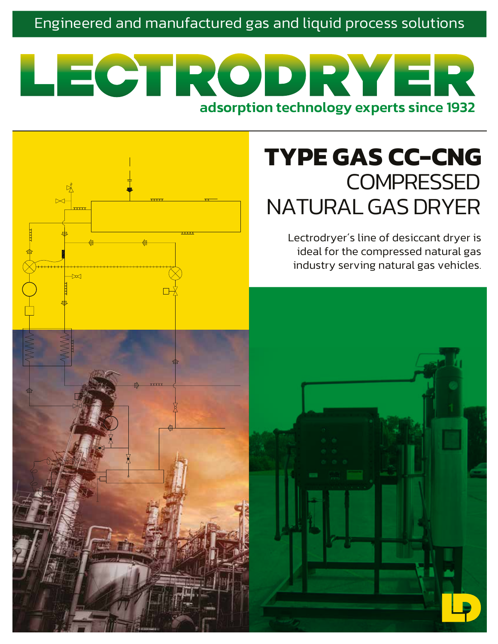# Engineered and manufactured gas and liquid process solutions

# LECTRODR adsorption technology experts since 1932

 $\overline{\alpha}$ 

# **TYPE GAS CC-CNG COMPRESSED** NATURAL GAS DRYER

Lectrodryer´s line of desiccant dryer is ideal for the compressed natural gas industry serving natural gas vehicles.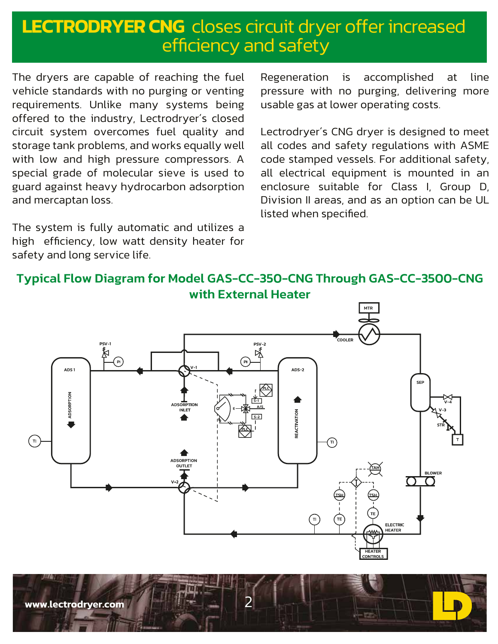# **LECTRODRYER CNG** closes circuit dryer offer increased efficiency and safety

The dryers are capable of reaching the fuel vehicle standards with no purging or venting requirements. Unlike many systems being offered to the industry, Lectrodryer´s closed circuit system overcomes fuel quality and storage tank problems, and works equally well with low and high pressure compressors. A special grade of molecular sieve is used to guard against heavy hydrocarbon adsorption and mercaptan loss.

The system is fully automatic and utilizes a high efficiency, low watt density heater for safety and long service life.

Regeneration is accomplished at line pressure with no purging, delivering more usable gas at lower operating costs.

Lectrodryer´s CNG dryer is designed to meet all codes and safety regulations with ASME code stamped vessels. For additional safety, all electrical equipment is mounted in an enclosure suitable for Class I, Group D, Division II areas, and as an option can be UL listed when specified.

### Typical Flow Diagram for Model GAS-CC-350-CNG Through GAS-CC-3500-CNG with External Heater



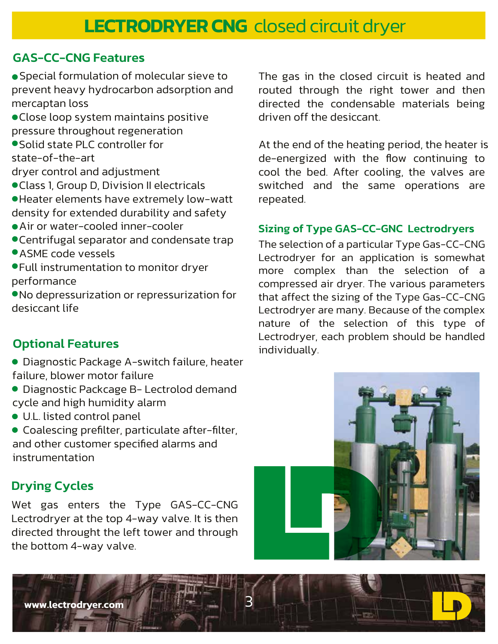## GAS-CC-CNG Features

 Special formulation of molecular sieve to prevent heavy hydrocarbon adsorption and mercaptan loss

- Close loop system maintains positive pressure throughout regeneration
- Solid state PLC controller for state-of-the-art

dryer control and adjustment

- Class 1, Group D, Division II electricals
- Heater elements have extremely low-watt density for extended durability and safety
- Air or water-cooled inner-cooler
- Centrifugal separator and condensate trap
- ASME code vessels

 Full instrumentation to monitor dryer performance

 No depressurization or repressurization for desiccant life

# Optional Features

 Diagnostic Package A-switch failure, heater failure, blower motor failure

- Diagnostic Packcage B- Lectrolod demand cycle and high humidity alarm
- U.L. listed control panel

**www.lectrodryer.com** 3

 Coalescing prefilter, particulate after-filter, and other customer specified alarms and instrumentation

# Drying Cycles

Wet gas enters the Type GAS-CC-CNG Lectrodryer at the top 4-way valve. It is then directed throught the left tower and through the bottom 4-way valve.

The gas in the closed circuit is heated and routed through the right tower and then directed the condensable materials being driven off the desiccant.

At the end of the heating period, the heater is de-energized with the flow continuing to cool the bed. After cooling, the valves are switched and the same operations are repeated.

#### Sizing of Type GAS-CC-GNC Lectrodryers

The selection of a particular Type Gas-CC-CNG Lectrodryer for an application is somewhat more complex than the selection of a compressed air dryer. The various parameters that affect the sizing of the Type Gas-CC-CNG Lectrodryer are many. Because of the complex nature of the selection of this type of Lectrodryer, each problem should be handled individually.